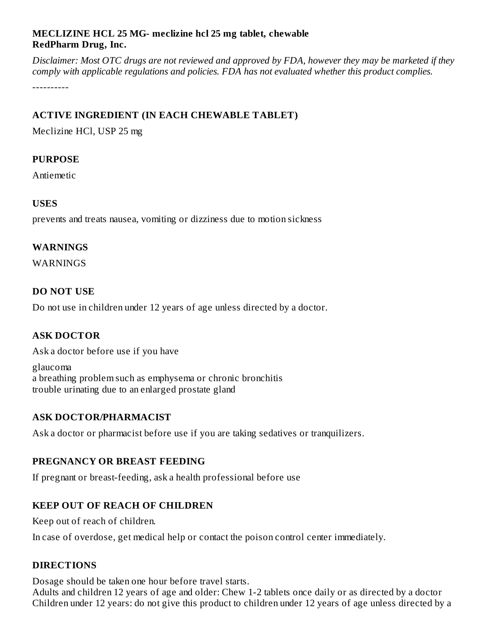### **MECLIZINE HCL 25 MG- meclizine hcl 25 mg tablet, chewable RedPharm Drug, Inc.**

Disclaimer: Most OTC drugs are not reviewed and approved by FDA, however they may be marketed if they *comply with applicable regulations and policies. FDA has not evaluated whether this product complies.*

----------

# **ACTIVE INGREDIENT (IN EACH CHEWABLE TABLET)**

Meclizine HCl, USP 25 mg

## **PURPOSE**

Antiemetic

## **USES**

prevents and treats nausea, vomiting or dizziness due to motion sickness

### **WARNINGS**

WARNINGS

### **DO NOT USE**

Do not use in children under 12 years of age unless directed by a doctor.

## **ASK DOCTOR**

Ask a doctor before use if you have

glaucoma a breathing problem such as emphysema or chronic bronchitis trouble urinating due to an enlarged prostate gland

## **ASK DOCTOR/PHARMACIST**

Ask a doctor or pharmacist before use if you are taking sedatives or tranquilizers.

## **PREGNANCY OR BREAST FEEDING**

If pregnant or breast-feeding, ask a health professional before use

## **KEEP OUT OF REACH OF CHILDREN**

Keep out of reach of children.

In case of overdose, get medical help or contact the poison control center immediately.

## **DIRECTIONS**

Dosage should be taken one hour before travel starts.

Adults and children 12 years of age and older: Chew 1-2 tablets once daily or as directed by a doctor Children under 12 years: do not give this product to children under 12 years of age unless directed by a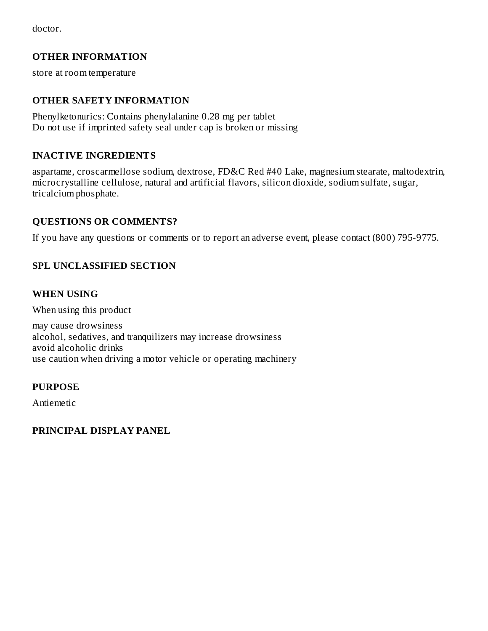doctor.

# **OTHER INFORMATION**

store at room temperature

### **OTHER SAFETY INFORMATION**

Phenylketonurics: Contains phenylalanine 0.28 mg per tablet Do not use if imprinted safety seal under cap is broken or missing

### **INACTIVE INGREDIENTS**

aspartame, croscarmellose sodium, dextrose, FD&C Red #40 Lake, magnesium stearate, maltodextrin, microcrystalline cellulose, natural and artificial flavors, silicon dioxide, sodium sulfate, sugar, tricalcium phosphate.

### **QUESTIONS OR COMMENTS?**

If you have any questions or comments or to report an adverse event, please contact (800) 795-9775.

#### **SPL UNCLASSIFIED SECTION**

#### **WHEN USING**

When using this product

may cause drowsiness alcohol, sedatives, and tranquilizers may increase drowsiness avoid alcoholic drinks use caution when driving a motor vehicle or operating machinery

#### **PURPOSE**

Antiemetic

### **PRINCIPAL DISPLAY PANEL**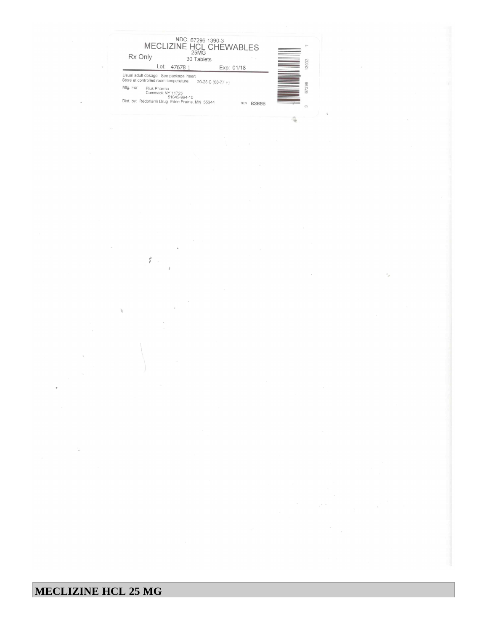| Rx Only   |                                 |                                                                                 | MECLIZINE HCL CHEWABLES<br>25MG<br>30 Tablets |            |  | $\sim$ |
|-----------|---------------------------------|---------------------------------------------------------------------------------|-----------------------------------------------|------------|--|--------|
|           | Lot:                            | 47678 1                                                                         |                                               | Exp: 01/18 |  | 3903   |
|           |                                 |                                                                                 |                                               |            |  |        |
|           |                                 | Usual adult dosage: See package insert<br>Store at controlled room temperature: | 20-25 C (68-77 F)                             |            |  |        |
| Mfg. For: | Plus Pharma<br>Commack NY 11725 | 51645-994-10<br>Dist. by: Redpharm Drug Eden Prairie, MN 55344                  |                                               |            |  | 67296  |

ġ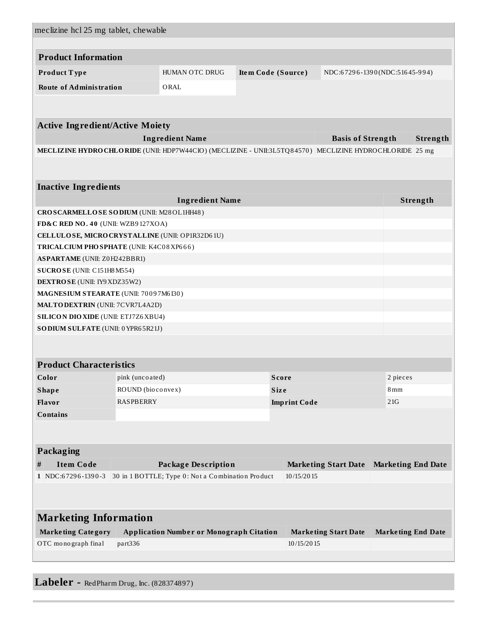| meclizine hcl 25 mg tablet, chewable                                                                    |                                                                       |                                                   |  |                 |                             |                           |          |  |
|---------------------------------------------------------------------------------------------------------|-----------------------------------------------------------------------|---------------------------------------------------|--|-----------------|-----------------------------|---------------------------|----------|--|
|                                                                                                         |                                                                       |                                                   |  |                 |                             |                           |          |  |
| <b>Product Information</b>                                                                              |                                                                       |                                                   |  |                 |                             |                           |          |  |
| Product Type                                                                                            | HUMAN OTC DRUG<br>NDC:67296-1390(NDC:51645-994)<br>Item Code (Source) |                                                   |  |                 |                             |                           |          |  |
| <b>Route of Administration</b>                                                                          | ORAL                                                                  |                                                   |  |                 |                             |                           |          |  |
|                                                                                                         |                                                                       |                                                   |  |                 |                             |                           |          |  |
| <b>Active Ingredient/Active Moiety</b>                                                                  |                                                                       |                                                   |  |                 |                             |                           |          |  |
| <b>Ingredient Name</b><br><b>Basis of Strength</b>                                                      |                                                                       |                                                   |  |                 |                             |                           | Strength |  |
| MECLIZINE HYDRO CHLORIDE (UNII: HDP7W44CIO) (MECLIZINE - UNII:3L5TQ84570) MECLIZINE HYDROCHLORIDE 25 mg |                                                                       |                                                   |  |                 |                             |                           |          |  |
|                                                                                                         |                                                                       |                                                   |  |                 |                             |                           |          |  |
| <b>Inactive Ingredients</b>                                                                             |                                                                       |                                                   |  |                 |                             |                           |          |  |
| <b>Ingredient Name</b>                                                                                  |                                                                       |                                                   |  |                 |                             |                           | Strength |  |
| CROSCARMELLOSE SODIUM (UNII: M28OL1HH48)                                                                |                                                                       |                                                   |  |                 |                             |                           |          |  |
| FD&C RED NO. 40 (UNII: WZB9127XOA)                                                                      |                                                                       |                                                   |  |                 |                             |                           |          |  |
| CELLULOSE, MICRO CRYSTALLINE (UNII: OP1R32D61U)                                                         |                                                                       |                                                   |  |                 |                             |                           |          |  |
| TRICAL CIUM PHO SPHATE (UNII: K4C08XP666)                                                               |                                                                       |                                                   |  |                 |                             |                           |          |  |
| <b>ASPARTAME</b> (UNII: Z0H242BBR1)                                                                     |                                                                       |                                                   |  |                 |                             |                           |          |  |
| SUCROSE (UNII: C151H8 M554)                                                                             |                                                                       |                                                   |  |                 |                             |                           |          |  |
| <b>DEXTROSE</b> (UNII: IY9 XDZ35W2)                                                                     |                                                                       |                                                   |  |                 |                             |                           |          |  |
| MAGNESIUM STEARATE (UNII: 70097M6I30)                                                                   |                                                                       |                                                   |  |                 |                             |                           |          |  |
| <b>MALTO DEXTRIN</b> (UNII: 7CVR7L4A2D)                                                                 |                                                                       |                                                   |  |                 |                             |                           |          |  |
| <b>SILICON DIO XIDE (UNII: ETJ7Z6 XBU4)</b>                                                             |                                                                       |                                                   |  |                 |                             |                           |          |  |
| <b>SODIUM SULFATE (UNII: 0 YPR65R21J)</b>                                                               |                                                                       |                                                   |  |                 |                             |                           |          |  |
|                                                                                                         |                                                                       |                                                   |  |                 |                             |                           |          |  |
| <b>Product Characteristics</b>                                                                          |                                                                       |                                                   |  |                 |                             |                           |          |  |
| Color                                                                                                   | pink (uncoated)<br>Score                                              |                                                   |  |                 |                             | 2 pieces                  |          |  |
| <b>Shape</b>                                                                                            | ROUND (bioconvex)<br>Size                                             |                                                   |  | 8 <sub>mm</sub> |                             |                           |          |  |
| Flavor                                                                                                  | <b>RASPBERRY</b><br><b>Imprint Code</b>                               |                                                   |  |                 |                             | 21G                       |          |  |
| <b>Contains</b>                                                                                         |                                                                       |                                                   |  |                 |                             |                           |          |  |
|                                                                                                         |                                                                       |                                                   |  |                 |                             |                           |          |  |
|                                                                                                         |                                                                       |                                                   |  |                 |                             |                           |          |  |
| <b>Packaging</b>                                                                                        |                                                                       |                                                   |  |                 |                             |                           |          |  |
| <b>Item Code</b><br>#                                                                                   |                                                                       | <b>Package Description</b>                        |  |                 | <b>Marketing Start Date</b> | <b>Marketing End Date</b> |          |  |
| 1 NDC:67296-1390-3                                                                                      |                                                                       | 30 in 1 BOTTLE; Type 0: Not a Combination Product |  | 10/15/2015      |                             |                           |          |  |
|                                                                                                         |                                                                       |                                                   |  |                 |                             |                           |          |  |
|                                                                                                         |                                                                       |                                                   |  |                 |                             |                           |          |  |
| <b>Marketing Information</b>                                                                            |                                                                       |                                                   |  |                 |                             |                           |          |  |
| <b>Marketing Category</b>                                                                               |                                                                       | <b>Application Number or Monograph Citation</b>   |  |                 | <b>Marketing Start Date</b> | <b>Marketing End Date</b> |          |  |
| OTC monograph final                                                                                     | part336                                                               |                                                   |  | 10/15/2015      |                             |                           |          |  |
|                                                                                                         |                                                                       |                                                   |  |                 |                             |                           |          |  |

**Labeler -** RedPharm Drug, Inc. (828374897)